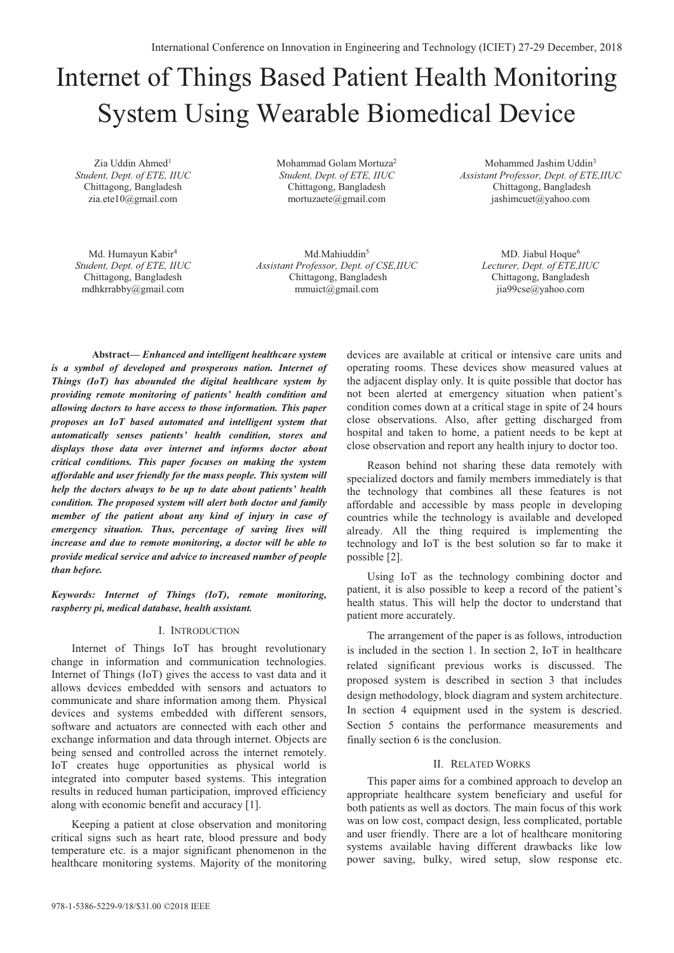# Internet of Things Based Patient Health Monitoring System Using Wearable Biomedical Device

Zia Uddin Ahmed<sup>1</sup> *Student, Dept. of ETE, IIUC*  Chittagong, Bangladesh zia.ete10@gmail.com

Mohammad Golam Mortuza2 *Student, Dept. of ETE, IIUC*  Chittagong, Bangladesh mortuzaete@gmail.com

Mohammed Jashim Uddin3 *Assistant Professor, Dept. of ETE,IIUC*  Chittagong, Bangladesh jashimcuet@yahoo.com

Md. Humayun Kabir4 *Student, Dept. of ETE, IIUC*  Chittagong, Bangladesh mdhkrrabby@gmail.com

Md.Mahiuddin<sup>5</sup> *Assistant Professor, Dept. of CSE,IIUC*  Chittagong, Bangladesh mmuict@gmail.com

MD. Jiabul Hoque<sup>6</sup> *Lecturer, Dept. of ETE,IIUC*  Chittagong, Bangladesh jia99cse@yahoo.com

**Abstract—** *Enhanced and intelligent healthcare system is a symbol of developed and prosperous nation. Internet of Things (IoT) has abounded the digital healthcare system by providing remote monitoring of patients' health condition and allowing doctors to have access to those information. This paper proposes an IoT based automated and intelligent system that automatically senses patients' health condition, stores and displays those data over internet and informs doctor about critical conditions. This paper focuses on making the system affordable and user friendly for the mass people. This system will help the doctors always to be up to date about patients' health condition. The proposed system will alert both doctor and family member of the patient about any kind of injury in case of emergency situation. Thus, percentage of saving lives will increase and due to remote monitoring, a doctor will be able to provide medical service and advice to increased number of people than before.* 

*Keywords: Internet of Things (IoT), remote monitoring, raspberry pi, medical database, health assistant.* 

## I. INTRODUCTION

Internet of Things IoT has brought revolutionary change in information and communication technologies. Internet of Things (IoT) gives the access to vast data and it allows devices embedded with sensors and actuators to communicate and share information among them. Physical devices and systems embedded with different sensors, software and actuators are connected with each other and exchange information and data through internet. Objects are being sensed and controlled across the internet remotely. IoT creates huge opportunities as physical world is integrated into computer based systems. This integration results in reduced human participation, improved efficiency along with economic benefit and accuracy [1].

Keeping a patient at close observation and monitoring critical signs such as heart rate, blood pressure and body temperature etc. is a major significant phenomenon in the healthcare monitoring systems. Majority of the monitoring

devices are available at critical or intensive care units and operating rooms. These devices show measured values at the adjacent display only. It is quite possible that doctor has not been alerted at emergency situation when patient's condition comes down at a critical stage in spite of 24 hours close observations. Also, after getting discharged from hospital and taken to home, a patient needs to be kept at close observation and report any health injury to doctor too.

Reason behind not sharing these data remotely with specialized doctors and family members immediately is that the technology that combines all these features is not affordable and accessible by mass people in developing countries while the technology is available and developed already. All the thing required is implementing the technology and IoT is the best solution so far to make it possible [2].

Using IoT as the technology combining doctor and patient, it is also possible to keep a record of the patient's health status. This will help the doctor to understand that patient more accurately.

The arrangement of the paper is as follows, introduction is included in the section 1. In section 2, IoT in healthcare related significant previous works is discussed. The proposed system is described in section 3 that includes design methodology, block diagram and system architecture. In section 4 equipment used in the system is descried. Section 5 contains the performance measurements and finally section 6 is the conclusion.

## II. RELATED WORKS

This paper aims for a combined approach to develop an appropriate healthcare system beneficiary and useful for both patients as well as doctors. The main focus of this work was on low cost, compact design, less complicated, portable and user friendly. There are a lot of healthcare monitoring systems available having different drawbacks like low power saving, bulky, wired setup, slow response etc.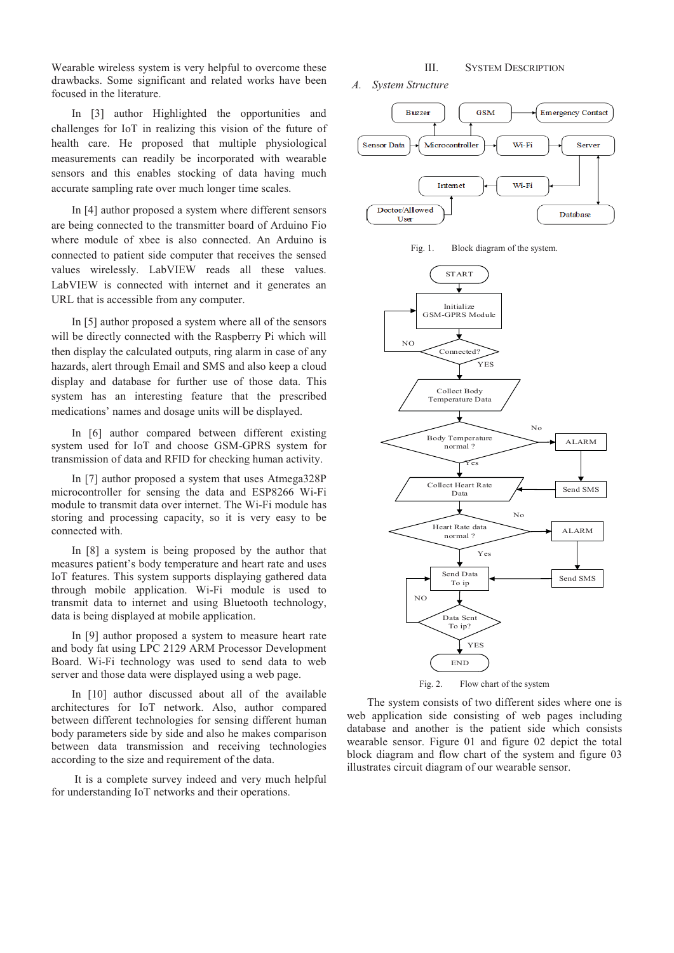Wearable wireless system is very helpful to overcome these drawbacks. Some significant and related works have been focused in the literature.

In [3] author Highlighted the opportunities and challenges for IoT in realizing this vision of the future of health care. He proposed that multiple physiological measurements can readily be incorporated with wearable sensors and this enables stocking of data having much accurate sampling rate over much longer time scales.

In [4] author proposed a system where different sensors are being connected to the transmitter board of Arduino Fio where module of xbee is also connected. An Arduino is connected to patient side computer that receives the sensed values wirelessly. LabVIEW reads all these values. LabVIEW is connected with internet and it generates an URL that is accessible from any computer.

In [5] author proposed a system where all of the sensors will be directly connected with the Raspberry Pi which will then display the calculated outputs, ring alarm in case of any hazards, alert through Email and SMS and also keep a cloud display and database for further use of those data. This system has an interesting feature that the prescribed medications' names and dosage units will be displayed.

In [6] author compared between different existing system used for IoT and choose GSM-GPRS system for transmission of data and RFID for checking human activity.

In [7] author proposed a system that uses Atmega328P microcontroller for sensing the data and ESP8266 Wi-Fi module to transmit data over internet. The Wi-Fi module has storing and processing capacity, so it is very easy to be connected with.

In [8] a system is being proposed by the author that measures patient's body temperature and heart rate and uses IoT features. This system supports displaying gathered data through mobile application. Wi-Fi module is used to transmit data to internet and using Bluetooth technology, data is being displayed at mobile application.

In [9] author proposed a system to measure heart rate and body fat using LPC 2129 ARM Processor Development Board. Wi-Fi technology was used to send data to web server and those data were displayed using a web page.

In [10] author discussed about all of the available architectures for IoT network. Also, author compared between different technologies for sensing different human body parameters side by side and also he makes comparison between data transmission and receiving technologies according to the size and requirement of the data.

 It is a complete survey indeed and very much helpful for understanding IoT networks and their operations.

# III. SYSTEM DESCRIPTION

*A. System Structure* 









The system consists of two different sides where one is web application side consisting of web pages including database and another is the patient side which consists wearable sensor. Figure 01 and figure 02 depict the total block diagram and flow chart of the system and figure 03 illustrates circuit diagram of our wearable sensor.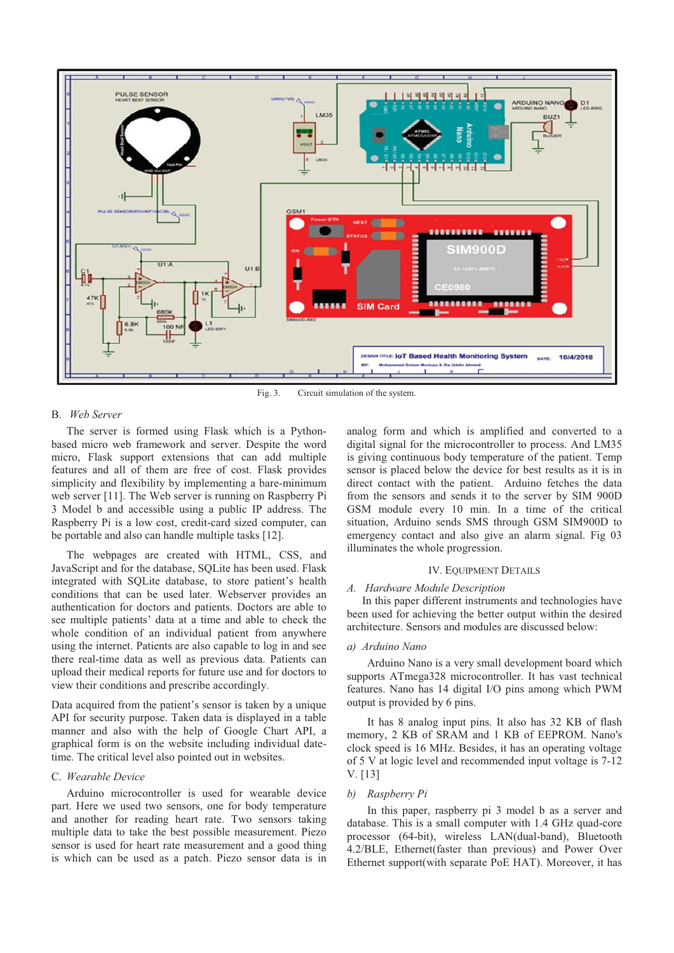

Fig. 3. Circuit simulation of the system.

## B. *Web Server*

The server is formed using Flask which is a Pythonbased micro web framework and server. Despite the word micro, Flask support extensions that can add multiple features and all of them are free of cost. Flask provides simplicity and flexibility by implementing a bare-minimum web server [11]. The Web server is running on Raspberry Pi 3 Model b and accessible using a public IP address. The Raspberry Pi is a low cost, credit-card sized computer, can be portable and also can handle multiple tasks [12].

The webpages are created with HTML, CSS, and JavaScript and for the database, SQLite has been used. Flask integrated with SQLite database, to store patient's health conditions that can be used later. Webserver provides an authentication for doctors and patients. Doctors are able to see multiple patients' data at a time and able to check the whole condition of an individual patient from anywhere using the internet. Patients are also capable to log in and see there real-time data as well as previous data. Patients can upload their medical reports for future use and for doctors to view their conditions and prescribe accordingly.

Data acquired from the patient's sensor is taken by a unique API for security purpose. Taken data is displayed in a table manner and also with the help of Google Chart API, a graphical form is on the website including individual datetime. The critical level also pointed out in websites.

### C. *Wearable Device*

Arduino microcontroller is used for wearable device part. Here we used two sensors, one for body temperature and another for reading heart rate. Two sensors taking multiple data to take the best possible measurement. Piezo sensor is used for heart rate measurement and a good thing is which can be used as a patch. Piezo sensor data is in analog form and which is amplified and converted to a digital signal for the microcontroller to process. And LM35 is giving continuous body temperature of the patient. Temp sensor is placed below the device for best results as it is in direct contact with the patient. Arduino fetches the data from the sensors and sends it to the server by SIM 900D GSM module every 10 min. In a time of the critical situation, Arduino sends SMS through GSM SIM900D to emergency contact and also give an alarm signal. Fig 03 illuminates the whole progression.

### IV. EQUIPMENT DETAILS

# *A. Hardware Module Description*

In this paper different instruments and technologies have been used for achieving the better output within the desired architecture. Sensors and modules are discussed below:

# *a) Arduino Nano*

Arduino Nano is a very small development board which supports ATmega328 microcontroller. It has vast technical features. Nano has 14 digital I/O pins among which PWM output is provided by 6 pins.

It has 8 analog input pins. It also has 32 KB of flash memory, 2 KB of SRAM and 1 KB of EEPROM. Nano's clock speed is 16 MHz. Besides, it has an operating voltage of 5 V at logic level and recommended input voltage is 7-12 V. [13]

#### *b) Raspberry Pi*

In this paper, raspberry pi 3 model b as a server and database. This is a small computer with 1.4 GHz quad-core processor (64-bit), wireless LAN(dual-band), Bluetooth 4.2/BLE, Ethernet(faster than previous) and Power Over Ethernet support(with separate PoE HAT). Moreover, it has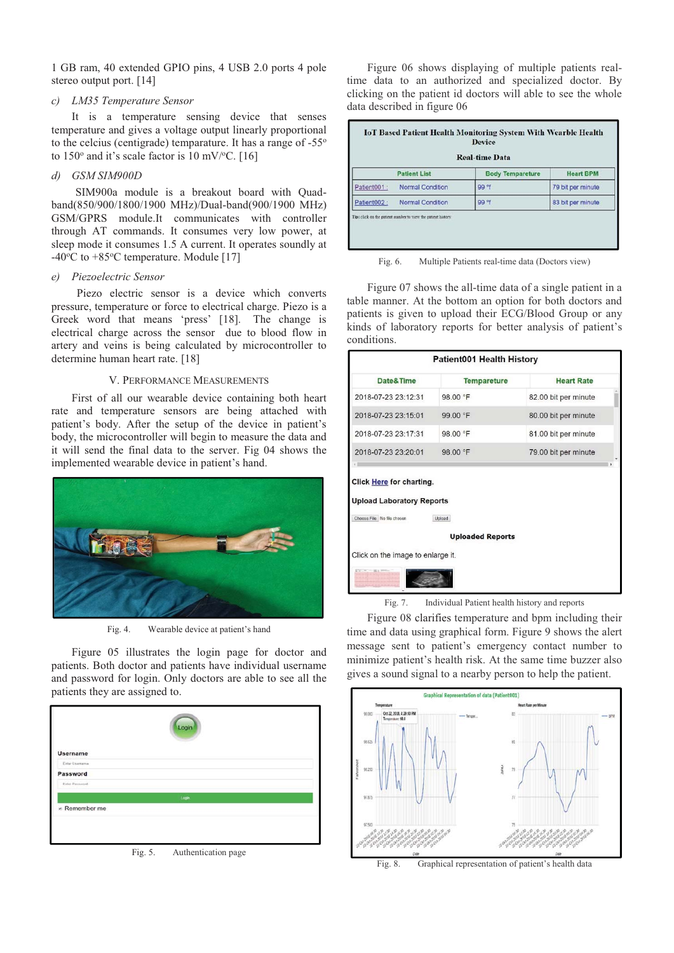1 GB ram, 40 extended GPIO pins, 4 USB 2.0 ports 4 pole stereo output port. [14]

## *c) LM35 Temperature Sensor*

It is a temperature sensing device that senses temperature and gives a voltage output linearly proportional to the celcius (centigrade) temparature. It has a range of -55o to  $150^{\circ}$  and it's scale factor is  $10 \text{ mV}$ <sup>o</sup>C. [16]

# *d) GSM SIM900D*

SIM900a module is a breakout board with Quadband(850/900/1800/1900 MHz)/Dual-band(900/1900 MHz) GSM/GPRS module.It communicates with controller through AT commands. It consumes very low power, at sleep mode it consumes 1.5 A current. It operates soundly at -40°C to +85°C temperature. Module [17]

# *e) Piezoelectric Sensor*

Piezo electric sensor is a device which converts pressure, temperature or force to electrical charge. Piezo is a Greek word that means 'press' [18]. The change is electrical charge across the sensor due to blood flow in artery and veins is being calculated by microcontroller to determine human heart rate. [18]

# V. PERFORMANCE MEASUREMENTS

First of all our wearable device containing both heart rate and temperature sensors are being attached with patient's body. After the setup of the device in patient's body, the microcontroller will begin to measure the data and it will send the final data to the server. Fig 04 shows the implemented wearable device in patient's hand.



Fig. 4. Wearable device at patient's hand

Figure 05 illustrates the login page for doctor and patients. Both doctor and patients have individual username and password for login. Only doctors are able to see all the patients they are assigned to.



Figure 06 shows displaying of multiple patients realtime data to an authorized and specialized doctor. By clicking on the patient id doctors will able to see the whole data described in figure 06

|              | <b>Patient List</b>     | <b>Body Tempareture</b> | <b>Heart BPM</b>  |
|--------------|-------------------------|-------------------------|-------------------|
| Patient001:  | <b>Normal Condition</b> | 99 <sup>°</sup>         | 79 bit per minute |
| Patient002 : | <b>Normal Condition</b> | 99 <sup>°</sup> f       | 83 bit per minute |

Fig. 6. Multiple Patients real-time data (Doctors view)

Figure 07 shows the all-time data of a single patient in a table manner. At the bottom an option for both doctors and patients is given to upload their ECG/Blood Group or any kinds of laboratory reports for better analysis of patient's conditions.

| <b>Patient001 Health History</b>                                                                                                                                     |                    |                      |  |  |  |
|----------------------------------------------------------------------------------------------------------------------------------------------------------------------|--------------------|----------------------|--|--|--|
| Date&Time                                                                                                                                                            | <b>Tempareture</b> | <b>Heart Rate</b>    |  |  |  |
| 2018-07-23 23:12:31                                                                                                                                                  | 98.00 °F           | 82.00 bit per minute |  |  |  |
| 2018-07-23 23:15:01                                                                                                                                                  | 99.00 °F           | 80.00 bit per minute |  |  |  |
| 2018-07-23 23:17:31                                                                                                                                                  | 98.00 °F           | 81.00 bit per minute |  |  |  |
| 2018-07-23 23:20:01                                                                                                                                                  | 98.00 °F           | 79.00 bit per minute |  |  |  |
| Click Here for charting.<br><b>Upload Laboratory Reports</b><br>Choose File No file chosen<br>Upload<br><b>Uploaded Reports</b><br>Click on the image to enlarge it. |                    |                      |  |  |  |

Fig. 7. Individual Patient health history and reports

Figure 08 clarifies temperature and bpm including their time and data using graphical form. Figure 9 shows the alert message sent to patient's emergency contact number to minimize patient's health risk. At the same time buzzer also gives a sound signal to a nearby person to help the patient.



Fig. 8. Graphical representation of patient's health data